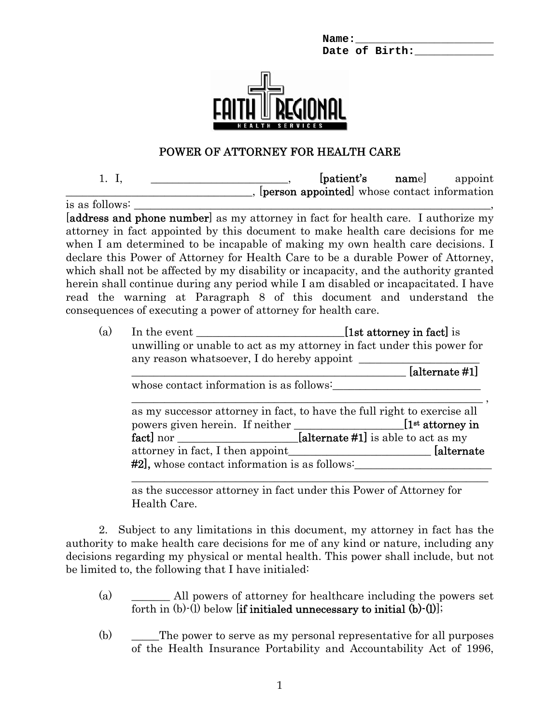Name: Date of Birth:



## POWER OF ATTORNEY FOR HEALTH CARE

1. I, \_\_\_\_\_\_\_\_\_\_\_\_\_\_\_\_\_\_\_\_\_\_\_\_\_, [patient's name] appoint \_\_\_\_\_\_\_\_\_\_\_\_\_\_\_\_\_\_\_\_\_\_\_\_\_\_\_\_\_\_\_\_\_\_, [person appointed] whose contact information is as follows: [address and phone number] as my attorney in fact for health care. I authorize my attorney in fact appointed by this document to make health care decisions for me when I am determined to be incapable of making my own health care decisions. I declare this Power of Attorney for Health Care to be a durable Power of Attorney, which shall not be affected by my disability or incapacity, and the authority granted herein shall continue during any period while I am disabled or incapacitated. I have read the warning at Paragraph 8 of this document and understand the consequences of executing a power of attorney for health care.

(a) In the event  $[1st\,\text{attorney}\,\text{in}\,\text{fact}]$  is unwilling or unable to act as my attorney in fact under this power for any reason whatsoever, I do hereby appoint  $\lceil \text{alternate } \#1 \rceil$ whose contact information is as follows: \_\_\_\_\_\_\_\_\_\_\_\_\_\_\_\_\_\_\_\_\_\_\_\_\_\_\_\_\_\_\_\_\_\_\_\_\_\_\_\_\_\_\_\_\_\_\_\_\_\_\_\_\_\_\_\_\_\_\_\_\_\_\_\_ , as my successor attorney in fact, to have the full right to exercise all powers given herein. If neither \_\_\_\_\_\_\_\_\_\_\_\_\_\_\_\_\_\_\_\_\_\_\_[1<sup>st</sup> attorney in

attorney in fact, I then appoint **alternate** at **a** #2], whose contact information is as follows:

fact] nor [alternate #1] is able to act as my

as the successor attorney in fact under this Power of Attorney for Health Care.

\_\_\_\_\_\_\_\_\_\_\_\_\_\_\_\_\_\_\_\_\_\_\_\_\_\_\_\_\_\_\_\_\_\_\_\_\_\_\_\_\_\_\_\_\_\_\_\_\_\_\_\_\_\_\_\_\_\_\_\_\_\_\_\_\_

2. Subject to any limitations in this document, my attorney in fact has the authority to make health care decisions for me of any kind or nature, including any decisions regarding my physical or mental health. This power shall include, but not be limited to, the following that I have initialed:

- (a) \_\_\_\_\_\_\_ All powers of attorney for healthcare including the powers set forth in  $(b)$ - $(l)$  below [if initialed unnecessary to initial  $(b)$ - $(l)$ ];
- (b)  $\qquad \qquad$  The power to serve as my personal representative for all purposes of the Health Insurance Portability and Accountability Act of 1996,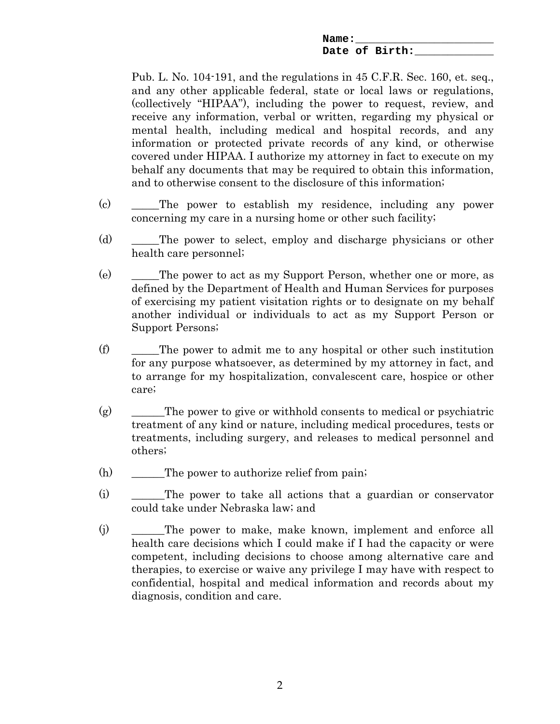**Name:\_\_\_\_\_\_\_\_\_\_\_\_\_\_\_\_\_\_\_\_\_**  Date of Birth:

Pub. L. No. 104-191, and the regulations in 45 C.F.R. Sec. 160, et. seq., and any other applicable federal, state or local laws or regulations, (collectively "HIPAA"), including the power to request, review, and receive any information, verbal or written, regarding my physical or mental health, including medical and hospital records, and any information or protected private records of any kind, or otherwise covered under HIPAA. I authorize my attorney in fact to execute on my behalf any documents that may be required to obtain this information, and to otherwise consent to the disclosure of this information;

- (c) \_\_\_\_\_The power to establish my residence, including any power concerning my care in a nursing home or other such facility;
- (d) \_\_\_\_\_The power to select, employ and discharge physicians or other health care personnel;
- (e) \_\_\_\_\_The power to act as my Support Person, whether one or more, as defined by the Department of Health and Human Services for purposes of exercising my patient visitation rights or to designate on my behalf another individual or individuals to act as my Support Person or Support Persons;
- $(f)$  The power to admit me to any hospital or other such institution for any purpose whatsoever, as determined by my attorney in fact, and to arrange for my hospitalization, convalescent care, hospice or other care;
- $(g)$  The power to give or withhold consents to medical or psychiatric treatment of any kind or nature, including medical procedures, tests or treatments, including surgery, and releases to medical personnel and others;
- $(h)$  The power to authorize relief from pain;
- (i) \_\_\_\_\_\_The power to take all actions that a guardian or conservator could take under Nebraska law; and
- (j) \_\_\_\_\_\_The power to make, make known, implement and enforce all health care decisions which I could make if I had the capacity or were competent, including decisions to choose among alternative care and therapies, to exercise or waive any privilege I may have with respect to confidential, hospital and medical information and records about my diagnosis, condition and care.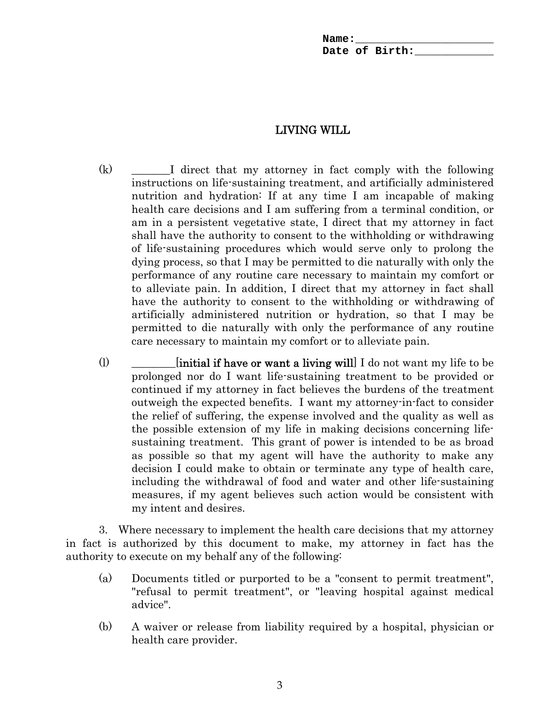| Name: |                |  |
|-------|----------------|--|
|       | Date of Birth: |  |

## LIVING WILL

- (k) \_\_\_\_\_\_\_I direct that my attorney in fact comply with the following instructions on life-sustaining treatment, and artificially administered nutrition and hydration: If at any time I am incapable of making health care decisions and I am suffering from a terminal condition, or am in a persistent vegetative state, I direct that my attorney in fact shall have the authority to consent to the withholding or withdrawing of life-sustaining procedures which would serve only to prolong the dying process, so that I may be permitted to die naturally with only the performance of any routine care necessary to maintain my comfort or to alleviate pain. In addition, I direct that my attorney in fact shall have the authority to consent to the withholding or withdrawing of artificially administered nutrition or hydration, so that I may be permitted to die naturally with only the performance of any routine care necessary to maintain my comfort or to alleviate pain.
- (1)  $\qquad$  [initial if have or want a living will] I do not want my life to be prolonged nor do I want life-sustaining treatment to be provided or continued if my attorney in fact believes the burdens of the treatment outweigh the expected benefits. I want my attorney-in-fact to consider the relief of suffering, the expense involved and the quality as well as the possible extension of my life in making decisions concerning lifesustaining treatment. This grant of power is intended to be as broad as possible so that my agent will have the authority to make any decision I could make to obtain or terminate any type of health care, including the withdrawal of food and water and other life-sustaining measures, if my agent believes such action would be consistent with my intent and desires.

3. Where necessary to implement the health care decisions that my attorney in fact is authorized by this document to make, my attorney in fact has the authority to execute on my behalf any of the following:

- (a) Documents titled or purported to be a "consent to permit treatment", "refusal to permit treatment", or "leaving hospital against medical advice".
- (b) A waiver or release from liability required by a hospital, physician or health care provider.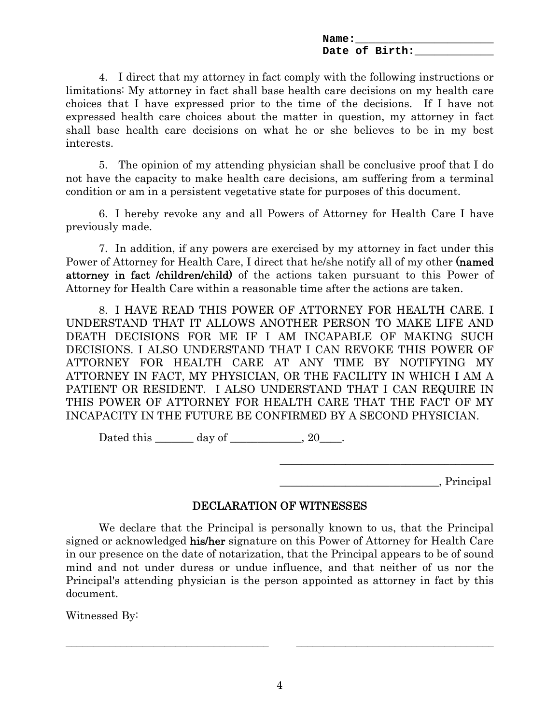**Name:\_\_\_\_\_\_\_\_\_\_\_\_\_\_\_\_\_\_\_\_\_**  Date of Birth:

4. I direct that my attorney in fact comply with the following instructions or limitations: My attorney in fact shall base health care decisions on my health care choices that I have expressed prior to the time of the decisions. If I have not expressed health care choices about the matter in question, my attorney in fact shall base health care decisions on what he or she believes to be in my best interests.

5. The opinion of my attending physician shall be conclusive proof that I do not have the capacity to make health care decisions, am suffering from a terminal condition or am in a persistent vegetative state for purposes of this document.

6. I hereby revoke any and all Powers of Attorney for Health Care I have previously made.

7. In addition, if any powers are exercised by my attorney in fact under this Power of Attorney for Health Care, I direct that he/she notify all of my other (named attorney in fact /children/child) of the actions taken pursuant to this Power of Attorney for Health Care within a reasonable time after the actions are taken.

8. I HAVE READ THIS POWER OF ATTORNEY FOR HEALTH CARE. I UNDERSTAND THAT IT ALLOWS ANOTHER PERSON TO MAKE LIFE AND DEATH DECISIONS FOR ME IF I AM INCAPABLE OF MAKING SUCH DECISIONS. I ALSO UNDERSTAND THAT I CAN REVOKE THIS POWER OF ATTORNEY FOR HEALTH CARE AT ANY TIME BY NOTIFYING MY ATTORNEY IN FACT, MY PHYSICIAN, OR THE FACILITY IN WHICH I AM A PATIENT OR RESIDENT. I ALSO UNDERSTAND THAT I CAN REQUIRE IN THIS POWER OF ATTORNEY FOR HEALTH CARE THAT THE FACT OF MY INCAPACITY IN THE FUTURE BE CONFIRMED BY A SECOND PHYSICIAN.

Dated this  $\qquad \qquad$  day of  $\qquad \qquad$ , 20  $\qquad$ .

 $\sum_{i=1}^{\infty}$ 

## DECLARATION OF WITNESSES

 $\mathcal{L}_\mathcal{L} = \{ \mathcal{L}_\mathcal{L} \mid \mathcal{L}_\mathcal{L} \in \mathcal{L}_\mathcal{L} \}$  , where  $\mathcal{L}_\mathcal{L} = \{ \mathcal{L}_\mathcal{L} \mid \mathcal{L}_\mathcal{L} \in \mathcal{L}_\mathcal{L} \}$ 

 We declare that the Principal is personally known to us, that the Principal signed or acknowledged his/her signature on this Power of Attorney for Health Care in our presence on the date of notarization, that the Principal appears to be of sound mind and not under duress or undue influence, and that neither of us nor the Principal's attending physician is the person appointed as attorney in fact by this document.

Witnessed By:

\_\_\_\_\_\_\_\_\_\_\_\_\_\_\_\_\_\_\_\_\_\_\_\_\_\_\_\_\_\_\_\_\_\_\_\_\_ \_\_\_\_\_\_\_\_\_\_\_\_\_\_\_\_\_\_\_\_\_\_\_\_\_\_\_\_\_\_\_\_\_\_\_\_